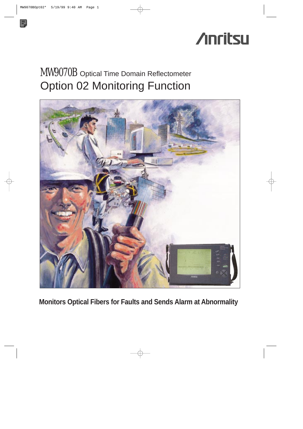# **Anritsu**

## MW9070B Optical Time Domain Reflectometer Option 02 Monitoring Function

 $|\Xi$ 



**Monitors Optical Fibers for Faults and Sends Alarm at Abnormality**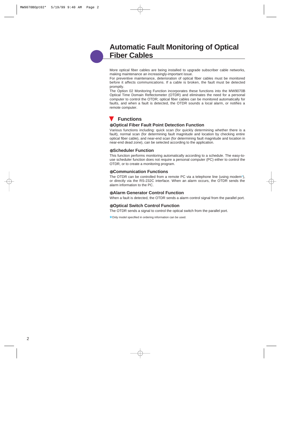## **Automatic Fault Monitoring of Optical Fiber Cables**

More optical fiber cables are being installed to upgrade subscriber cable networks, making maintenance an increasingly-important issue.

For preventive maintenance, deterioration of optical fiber cables must be monitored before it affects communications. If a cable is broken, the fault must be detected promptly.

The Option 02 Monitoring Function incorporates these functions into the MW9070B Optical Time Domain Reflectometer (OTDR) and eliminates the need for a personal computer to control the OTDR; optical fiber cables can be monitored automatically for faults, and when a fault is detected, the OTDR sounds a local alarm, or notifies a remote computer.

### ▼ Functions

#### ●**Optical Fiber Fault Point Detection Function**

Various functions including: quick scan (for quickly determining whether there is a fault), normal scan (for determining fault magnitude and location by checking entire optical fiber cable), and near-end scan (for determining fault magnitude and location in near-end dead zone), can be selected according to the application.

#### ●**Scheduler Function**

This function performs monitoring automatically according to a schedule. The easy-touse scheduler function does not require a personal computer (PC) either to control the OTDR, or to create a monitoring program.

#### ●**Communication Functions**

The OTDR can be controlled from a remote PC via a telephone line (using modem\*), or directly via the RS-232C interface. When an alarm occurs, the OTDR sends the alarm information to the PC.

#### ●**Alarm Generator Control Function**

When a fault is detected, the OTDR sends a alarm control signal from the parallel port.

#### ●**Optical Switch Control Function**

The OTDR sends a signal to control the optical switch from the parallel port.

\*Only model specified in ordering information can be used.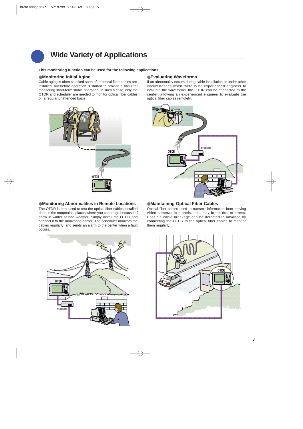## **Wide Variety of Applications**

#### **This monitoring function can be used for the following applications:**

#### ●**Monitoring Initial Aging**

Cable aging is often checked soon after optical fiber cables are installed, but before operation is started to provide a basis for monitoring short-term stable operation. In such a case, only the OTDR and scheduler are needed to monitor optical fiber cables on a regular unattended basis.



#### ●**Evaluating Waveforms**

If an abnormality occurs during cable installation or under other circumstances when there is no experienced engineer to evaluate the waveforms, the OTDR can be connected to the center, allowing an experienced engineer to evaluate the optical fiber cables remotely.



#### ●**Monitoring Abnormalities in Remote Locations**

The OTDR is best used to test the optical fiber cables installed deep in the mountains, places where you cannot go because of snow in winter or bad weather. Simply install the OTDR and connect it to the monitoring center. The scheduler monitors the cables regularly, and sends an alarm to the center when a fault occurs.



#### ●**Maintaining Optical Fiber Cables**

Optical fiber cables used to transmit information from moving video cameras in tunnels, etc., may break due to stress. Possible cable breakage can be detected in advance by connecting the OTDR to the optical fiber cables to monitor them regularly.

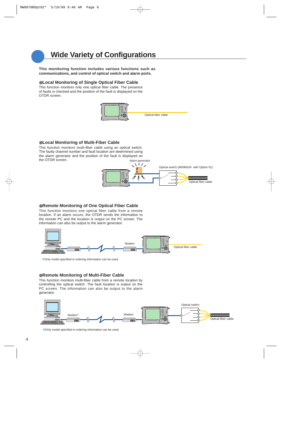## **Wide Variety of Configurations**

**This monitoring function includes various functions such as communications, and control of optical switch and alarm ports.**

#### ●**Local Monitoring of Single Optical Fiber Cable**

This function monitors only one optical fiber cable. The presence of faults is checked and the position of the fault is displayed on the OTDR screen.



#### ●**Local Monitoring of Multi-Fiber Cable**

This function monitors multi-fiber cable using an optical switch. The faulty channel number and fault location are determined using the alarm generator and the position of the fault is displayed on the OTDR screen.



#### ●**Remote Monitoring of One Optical Fiber Cable**

This function monitors one optical fiber cable from a remote location. If an alarm occurs, the OTDR sends the information to the remote PC and the location is output on the PC screen. The information can also be output to the alarm generator.



\*Only model specified in ordering information can be used.

#### ●**Remote Monitoring of Multi-Fiber Cable**

This function monitors multi-fiber cable from a remote location by controlling the optical switch. The fault location is output on the PC screen. The information can also be output to the alarm generator.



\*Only model specified in ordering information can be used.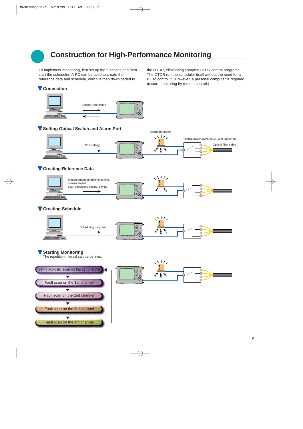## **Construction for High-Performance Monitoring**

To implement monitoring, first set up the functions and then start the scheduler. A PC can be used to create the reference data and schedule, which is then downloaded to

the OTDR, eliminating complex OTDR control programs. The OTDR run the scheduler itself without the need for a PC to control it. (However, a personal computer is required to start monitoring by remote control.)

#### **V** Connection



#### **V** Setting Optical Switch and Alarm Port



#### **V** Creating Reference Data



#### **V** Creating Schedule



#### ▼ Starting Monitoring

The repetition interval can be defined.

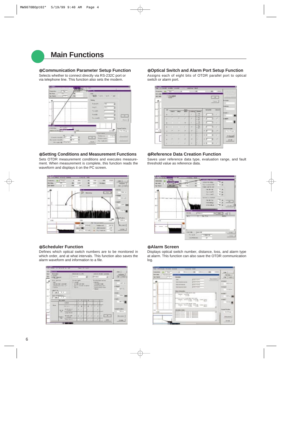## **Main Functions**

#### ●**Communication Parameter Setup Function**

Selects whether to connect directly via RS-232C port or via telephone line. This function also sets the modem.



#### ●**Setting Conditions and Measurement Functions**

Sets OTDR measurement conditions and executes measurement. When measurement is complete, this function reads the waveform and displays it on the PC screen.



#### ●**Scheduler Function**

Defines which optical switch numbers are to be monitored in which order, and at what intervals. This function also saves the alarm waveform and information to a file.



#### ●**Optical Switch and Alarm Port Setup Function**

Assigns each of eight bits of OTDR parallel port to optical switch or alarm port.



#### ●**Reference Data Creation Function**

Saves user reference data type, evaluation range, and fault threshold value as reference data.



#### ●**Alarm Screen**

Displays optical switch number, distance, loss, and alarm type at alarm. This function can also save the OTDR communication log.

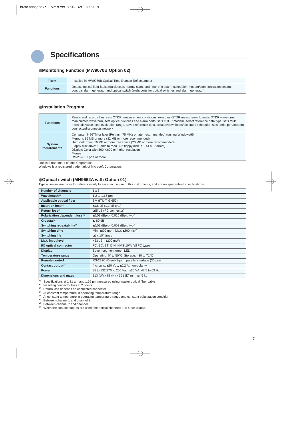#### ●**Monitoring Function (MW9070B Option 02)**

| <b>Form</b>      | Installed in MW9070B Optical Time Domain Reflectometer                                                                                                                                                                   |  |
|------------------|--------------------------------------------------------------------------------------------------------------------------------------------------------------------------------------------------------------------------|--|
| <b>Functions</b> | Detects optical fiber faults (quick scan, normal scan, and near-end scan), scheduler, modem/communication setting,<br>controls alarm generator and optical switch (eight ports for optical switches and alarm generator) |  |

#### ●**Installation Program**

| <b>Functions</b>              | Reads and records files, sets OTDR measurement conditions, executes OTDR measurement, reads OTDR waveform,<br>manipulates waveform, sets optical switches and alarm ports, sets OTDR modem, select reference data type, sets fault<br>threshold value, sets evaluation range, saves reference data, creates/downloads/executes scheduler, sets serial port/modem,<br>connects/disconnects network |
|-------------------------------|---------------------------------------------------------------------------------------------------------------------------------------------------------------------------------------------------------------------------------------------------------------------------------------------------------------------------------------------------------------------------------------------------|
| <b>System</b><br>requirements | Computer: i486TM or later (Pentium 75 MHz or later recommended) running Windows95<br>Memory: 16 MB or more (32 MB or more recommended)<br>Hard disk drive: 16 MB or more free space (20 MB or more recommended)<br>Floppy disk drive: 1 (able to read 3.5" floppy disk in 1.44 MB format)<br>Display: Color with $800 \times 600$ or higher resolution<br>Mouse<br>RS-232C: 1 port or more        |

i486 is a trademark of Intel Corporation.

Windows is a registered trademark of Microsoft Corporation.

#### ●**Optical switch (MN9662A with Option 01)**

Typical values are given for reference only to assist in the use of this instruments, and are not guaranteed specifications.

| Number of channels            | $1 \times 8$                                            |
|-------------------------------|---------------------------------------------------------|
| Wavelength*1                  | 1.2 to 1.65 um                                          |
| Applicable optical fiber      | SM (ITU-T G.652)                                        |
| Insertion loss*2              | ≤1.6 dB $(1.1$ dB typ.)                                 |
| Return loss*3                 | $\geq$ 45 dB (PC connector)                             |
| Polarization dependent loss*4 | ≤0.03 dBp-p (0.015 dBp-p typ.)                          |
| <b>Crosstalk</b>              | $\leq -80$ dB                                           |
| Switching repeatability*5     | ≤0.02 dBp-p (0.003 dBp-p typ.)                          |
| <b>Switching time</b>         | Min: ≤600 ms <sup>*6</sup> , Max: ≤800 ms <sup>*7</sup> |
| <b>Switching life</b>         | $\geq$ 1 x 10 <sup>7</sup> times                        |
| Max. input level              | +23 dBm (200 mW)                                        |
| I/O optical connector         | FC, SC, ST, DIN, HMS-10/A (all PC type)                 |
| <b>Display</b>                | Seven-segment green LED                                 |
| Temperature range             | Operating: 0° to 50°C, Storage: -30 to 71°C             |
| <b>Remote control</b>         | RS-232C (D-sub 9-pin), parallel interface (36-pin)      |
| Contact output*8              | 4 circuits, ≤50 Vdc, ≤0.2 A, non-polarity               |
| <b>Power</b>                  | 85 to 132/170 to 250 Vac, ≤35 VA, 47.5 to 63 Hz         |
| <b>Dimensions and mass</b>    | 213 (W) x 88 (H) x 351 (D) mm, $\leq$ 4.5 kg            |

\*1 : Specifications at 1.31 µm and 1.55 µm measured using master optical fiber cable

\*2 : Including connector loss at 2 points

\*3 : Return loss depends on connected connector

\*4 : At constant temperature in operating temperature range

\*5 : At constant temperature in operating temperature range and constant polarization condition

\*6 : Between channel 1 and channel 2

\*7 : Between channel 7 and channel 8

\*8: When the contact outputs are used, the optical channels 1 to 4 are usable.